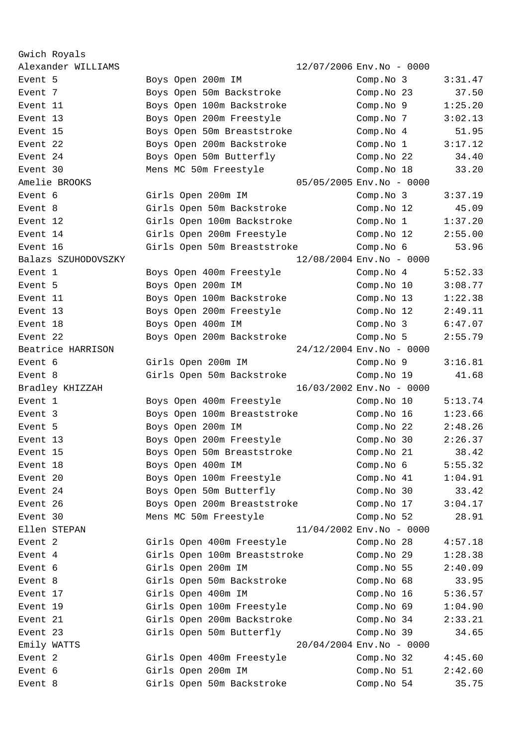Gwich Royals Alexander WILLIAMS 12/07/2006 Env.No - 0000 Event 5 Boys Open 200m IM Comp.No 3 3:31.47 Event 7 The Soys Open 50m Backstroke Comp.No 23 37.50 Event 11 Boys Open 100m Backstroke Comp.No 9 1:25.20 Event 13 Boys Open 200m Freestyle Comp.No 7 3:02.13 Event 15 Boys Open 50m Breaststroke Comp.No 4 51.95 Event 22 Boys Open 200m Backstroke Comp.No 1 3:17.12 Event 24 Boys Open 50m Butterfly Comp.No 22 34.40 Event 30 Mens MC 50m Freestyle Comp.No 18 33.20 Amelie BROOKS 05/05/2005 Env.No - 0000 Event 6 Girls Open 200m IM Comp.No 3 3:37.19 Event 8 Girls Open 50m Backstroke Comp.No 12 45.09 Event 12 Girls Open 100m Backstroke Comp.No 1 1:37.20 Event 14 Girls Open 200m Freestyle Comp.No 12 2:55.00 Event 16 Girls Open 50m Breaststroke Comp.No 6 53.96 Balazs SZUHODOVSZKY 12/08/2004 Env.No - 0000 Event 1 Boys Open 400m Freestyle Comp.No 4 5:52.33 Event 5 Boys Open 200m IM Comp.No 10 3:08.77 Event 11 The Boys Open 100m Backstroke Comp.No 13 1:22.38 Event 13 Boys Open 200m Freestyle Comp.No 12 2:49.11 Event 18 Boys Open 400m IM Comp.No 3 6:47.07 Event 22 Boys Open 200m Backstroke Comp.No 5 2:55.79 Beatrice HARRISON 24/12/2004 Env.No - 0000 Event 6 Girls Open 200m IM Comp.No 9 3:16.81 Event 8 Girls Open 50m Backstroke Comp.No 19 41.68 Bradley KHIZZAH 16/03/2002 Env.No - 0000 Event 1 Boys Open 400m Freestyle Comp.No 10 5:13.74 Event 3 Boys Open 100m Breaststroke Comp.No 16 1:23.66 Event 5 Boys Open 200m IM Comp.No 22 2:48.26 Event 13 Boys Open 200m Freestyle Comp.No 30 2:26.37 Event 15 Boys Open 50m Breaststroke Comp.No 21 38.42 Event 18 Boys Open 400m IM Comp.No 6 5:55.32 Event 20 Boys Open 100m Freestyle Comp.No 41 1:04.91 Event 24 Boys Open 50m Butterfly Comp.No 30 33.42 Event 26 Boys Open 200m Breaststroke Comp.No 17 3:04.17 Event 30 Mens MC 50m Freestyle Comp.No 52 28.91 Ellen STEPAN 11/04/2002 Env.No - 0000 Event 2 Girls Open 400m Freestyle Comp.No 28 4:57.18 Event 4 Girls Open 100m Breaststroke Comp.No 29 1:28.38 Event 6 Girls Open 200m IM Comp.No 55 2:40.09 Event 8 Girls Open 50m Backstroke Comp.No 68 33.95 Event 17 Girls Open 400m IM Comp.No 16 5:36.57 Event 19 Girls Open 100m Freestyle Comp.No 69 1:04.90 Event 21 Girls Open 200m Backstroke Comp.No 34 2:33.21 Event 23 Girls Open 50m Butterfly Comp.No 39 34.65 Emily WATTS 20/04/2004 Env.No - 0000 Event 2 Girls Open 400m Freestyle Comp.No 32 4:45.60 Event 6 Girls Open 200m IM Comp.No 51 2:42.60 Event 8 Girls Open 50m Backstroke Comp.No 54 35.75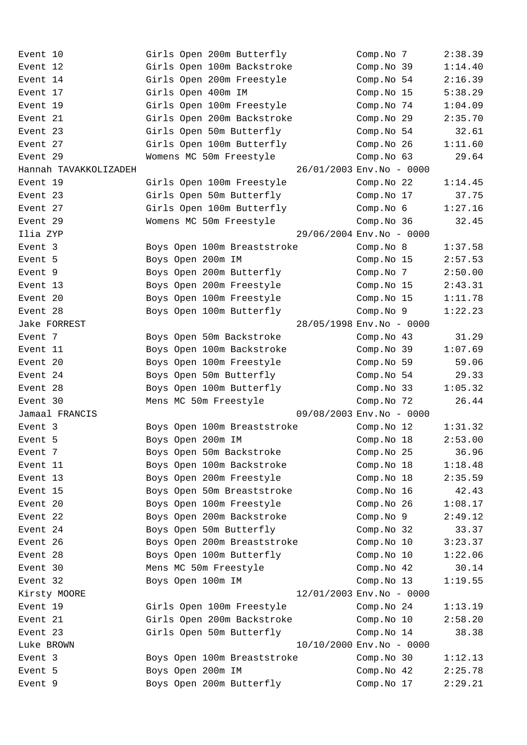| Event 10              | Girls Open 200m Butterfly   | Comp.No 7                 | 2:38.39 |
|-----------------------|-----------------------------|---------------------------|---------|
| Event 12              | Girls Open 100m Backstroke  | Comp.No 39                | 1:14.40 |
| Event 14              | Girls Open 200m Freestyle   | Comp.No 54                | 2:16.39 |
| Event 17              | Girls Open 400m IM          | Comp.No 15                | 5:38.29 |
| Event 19              | Girls Open 100m Freestyle   | Comp.No 74                | 1:04.09 |
| Event 21              | Girls Open 200m Backstroke  | Comp.No 29                | 2:35.70 |
| Event 23              | Girls Open 50m Butterfly    | Comp.No 54                | 32.61   |
| Event 27              | Girls Open 100m Butterfly   | Comp. No 26               | 1:11.60 |
| Event 29              | Womens MC 50m Freestyle     | Comp.No 63                | 29.64   |
| Hannah TAVAKKOLIZADEH |                             | 26/01/2003 Env. No - 0000 |         |
| Event 19              | Girls Open 100m Freestyle   | Comp.No 22                | 1:14.45 |
| Event 23              | Girls Open 50m Butterfly    | Comp.No 17                | 37.75   |
| Event 27              | Girls Open 100m Butterfly   | Comp.No 6                 | 1:27.16 |
| Event 29              | Womens MC 50m Freestyle     | Comp.No 36                | 32.45   |
| Ilia ZYP              |                             | 29/06/2004 Env. No - 0000 |         |
| Event 3               | Boys Open 100m Breaststroke | Comp.No 8                 | 1:37.58 |
| Event 5               | Boys Open 200m IM           | Comp.No 15                | 2:57.53 |
| Event 9               | Boys Open 200m Butterfly    | Comp.No 7                 | 2:50.00 |
| Event 13              | Boys Open 200m Freestyle    | Comp.No 15                | 2:43.31 |
| Event 20              | Boys Open 100m Freestyle    | Comp. No 15               | 1:11.78 |
| Event 28              | Boys Open 100m Butterfly    | Comp.No 9                 | 1:22.23 |
| Jake FORREST          |                             | 28/05/1998 Env.No - 0000  |         |
| Event 7               | Boys Open 50m Backstroke    | Comp.No 43                | 31.29   |
| Event 11              | Boys Open 100m Backstroke   | Comp.No 39                | 1:07.69 |
| Event 20              | Boys Open 100m Freestyle    | Comp.No 59                | 59.06   |
| Event 24              | Boys Open 50m Butterfly     | Comp.No 54                | 29.33   |
| Event 28              | Boys Open 100m Butterfly    | Comp. No 33               | 1:05.32 |
| Event 30              | Mens MC 50m Freestyle       | Comp.No 72                | 26.44   |
| Jamaal FRANCIS        |                             | 09/08/2003 Env. No - 0000 |         |
| Event 3               | Boys Open 100m Breaststroke | Comp.No 12                | 1:31.32 |
| Event 5               | Boys Open 200m IM           | Comp.No 18                | 2:53.00 |
| Event 7               | Boys Open 50m Backstroke    | Comp. No 25               | 36.96   |
| Event 11              | Boys Open 100m Backstroke   | Comp.No 18                | 1:18.48 |
| Event 13              | Boys Open 200m Freestyle    | Comp.No 18                | 2:35.59 |
| Event 15              | Boys Open 50m Breaststroke  | Comp.No 16                | 42.43   |
| Event 20              | Boys Open 100m Freestyle    | Comp.No 26                | 1:08.17 |
| Event 22              | Boys Open 200m Backstroke   | Comp.No 9                 | 2:49.12 |
| Event 24              | Boys Open 50m Butterfly     | Comp. No 32               | 33.37   |
| Event 26              | Boys Open 200m Breaststroke | Comp.No 10                | 3:23.37 |
| Event 28              | Boys Open 100m Butterfly    | Comp.No 10                | 1:22.06 |
| Event 30              | Mens MC 50m Freestyle       | Comp.No 42                | 30.14   |
| Event 32              | Boys Open 100m IM           | Comp.No 13                | 1:19.55 |
| Kirsty MOORE          |                             | 12/01/2003 Env. No - 0000 |         |
| Event 19              | Girls Open 100m Freestyle   | Comp. No 24               | 1:13.19 |
| Event 21              | Girls Open 200m Backstroke  | Comp.No 10                | 2:58.20 |
| Event 23              | Girls Open 50m Butterfly    | Comp.No 14                | 38.38   |
| Luke BROWN            |                             | 10/10/2000 Env. No - 0000 |         |
| Event 3               | Boys Open 100m Breaststroke | Comp. No 30               | 1:12.13 |
| Event 5               | Boys Open 200m IM           | Comp.No 42                | 2:25.78 |
| Event 9               | Boys Open 200m Butterfly    | Comp.No 17                | 2:29.21 |